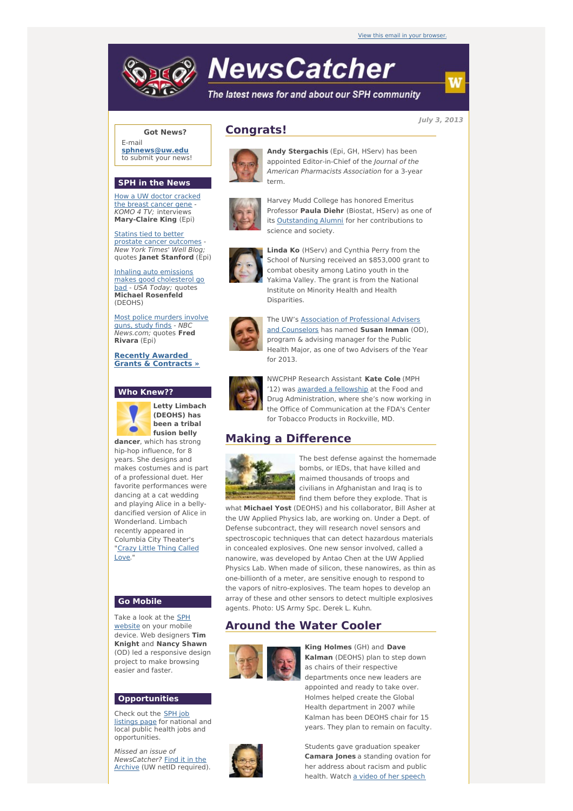# **NewsCatcher**

The latest news for and about our SPH community

**July 3, 2013**

### **Got News?**

E-mail **[sphnews@uw.edu](mailto:sphnews@uw.edu)** to submit your news!

#### **SPH in the News**

How a UW doctor [cracked](http://engage.washington.edu/site/R?i=d25rohNSPKiroMRUbDC4QA) the breast cancer gene -KOMO 4 TV; interviews **Mary-Claire King** (Epi)

Statins tied to better prostate cancer [outcomes](http://engage.washington.edu/site/R?i=PeU7_MG637Vrr3lUfHX1gA) - New York Times' Well Blog; quotes **Janet Stanford** (Epi)

Inhaling auto emissions makes good [cholesterol](http://engage.washington.edu/site/R?i=w_BEEn5FARNavSyiHBZV4A) go bad - USA Today; quotes **Michael Rosenfeld** (DEOHS)

Most police [murders](http://engage.washington.edu/site/R?i=w-IoAqHYea7I9pQwdl5XFA) involve guns, study finds - NBC News.com; quotes **Fred Rivara** (Epi)

**Recently Awarded Grants & [Contracts](http://engage.washington.edu/site/R?i=Eej0t6e2ABfZqrMO-f2v8Q) »**

#### **Who Knew??**



**Letty Limbach (DEOHS) has been a tribal fusion belly dancer**, which has strong

hip-hop influence, for 8 years. She designs and makes costumes and is part of a professional duet. Her favorite performances were dancing at a cat wedding and playing Alice in a bellydancified version of Alice in Wonderland. Limbach recently appeared in Columbia City Theater's ["Crazy](http://engage.washington.edu/site/R?i=pM5AVJ24qv5gvhBEmCif4w) Little Thing Called Love.

#### **Go Mobile**

Take a look at the SPH [website](http://engage.washington.edu/site/R?i=1rSFbMpVyT03m1EyxTuRpA) on your mobile device. Web designers **Tim Knight** and **Nancy Shawn** (OD) led a responsive design project to make browsing easier and faster.

#### **Opportunities**

Check out the SPH job [listings](http://engage.washington.edu/site/R?i=ovK02F0uhq8boyXKuFsGhg) page for national and local public health jobs and opportunities.

Missed an issue of [NewsCatcher?](http://engage.washington.edu/site/R?i=dRIezov1X0J5tTHC_9Nt1A) Find it in the Archive (UW netID required).

# **Congrats!**



**Andy Stergachis** (Epi, GH, HServ) has been appointed Editor-in-Chief of the Journal of the American Pharmacists Association for a 3-year term.



Harvey Mudd College has honored Emeritus Professor **Paula Diehr** (Biostat, HServ) as one of its [Outstanding](http://engage.washington.edu/site/R?i=3eKV9iVz5zEP_w3D39x5Tw) Alumni for her contributions to science and society.



**Linda Ko** (HServ) and Cynthia Perry from the School of Nursing received an \$853,000 grant to combat obesity among Latino youth in the Yakima Valley. The grant is from the National Institute on Minority Health and Health Disparities.



The UW's Association of [Professional](http://engage.washington.edu/site/R?i=7utr7YDn08q3lnElB_swWg) Advisers and Counselors has named **Susan Inman** (OD), program & advising manager for the Public Health Major, as one of two Advisers of the Year for 2013.



NWCPHP Research Assistant **Kate Cole** (MPH '12) was awarded a [fellowship](http://engage.washington.edu/site/R?i=MDXigddKa8miCLnpLEzgLA) at the Food and Drug Administration, where she's now working in the Office of Communication at the FDA's Center for Tobacco Products in Rockville, MD.

# **Making a Difference**



The best defense against the homemade bombs, or IEDs, that have killed and maimed thousands of troops and civilians in Afghanistan and Iraq is to find them before they explode. That is

what **Michael Yost** (DEOHS) and his collaborator, Bill Asher at the UW Applied Physics lab, are working on. Under a Dept. of Defense subcontract, they will research novel sensors and spectroscopic techniques that can detect hazardous materials in concealed explosives. One new sensor involved, called a nanowire, was developed by Antao Chen at the UW Applied Physics Lab. When made of silicon, these nanowires, as thin as one-billionth of a meter, are sensitive enough to respond to the vapors of nitro-explosives. The team hopes to develop an array of these and other sensors to detect multiple explosives agents. Photo: US Army Spc. Derek L. Kuhn.

## **Around the Water Cooler**



**King Holmes** (GH) and **Dave Kalman** (DEOHS) plan to step down as chairs of their respective departments once new leaders are appointed and ready to take over. Holmes helped create the Global Health department in 2007 while Kalman has been DEOHS chair for 15 years. They plan to remain on faculty.

Students gave graduation speaker **Camara Jones** a standing ovation for her address about racism and public health. Watch a video of her [speech](http://engage.washington.edu/site/R?i=S0sQmNJfiXosy_QTLP0qng)